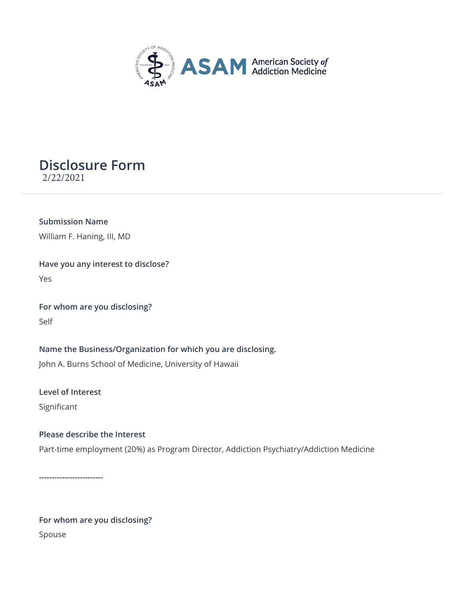

## **Disclosure Form** 2/22/2021

**Submission Name** William F. Haning, III, MD

**Have you any interest to disclose?** Yes

**For whom are you disclosing?** Self

**Name the Business/Organization for which you are disclosing.** John A. Burns School of Medicine, University of Hawaii

**Level of Interest** Significant

## **Please describe the Interest**

Part-time employment (20%) as Program Director, Addiction Psychiatry/Addiction Medicine

**-------------------------**

**For whom are you disclosing?** Spouse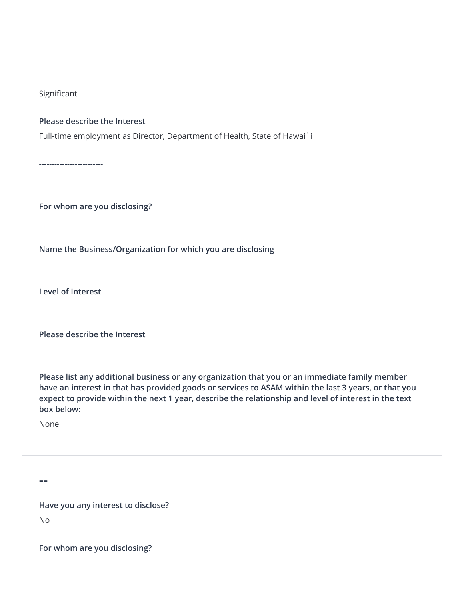Significant

## **Please describe the Interest**

Full-time employment as Director, Department of Health, State of Hawai`i

**-------------------------**

**For whom are you disclosing?**

**Name the Business/Organization for which you are disclosing**

**Level of Interest**

**Please describe the Interest**

**Please list any additional business or any organization that you or an immediate family member have an interest in that has provided goods or services to ASAM within the last 3 years, or that you expect to provide within the next 1 year, describe the relationship and level of interest in the text box below:**

None

**--**

**Have you any interest to disclose?** No

**For whom are you disclosing?**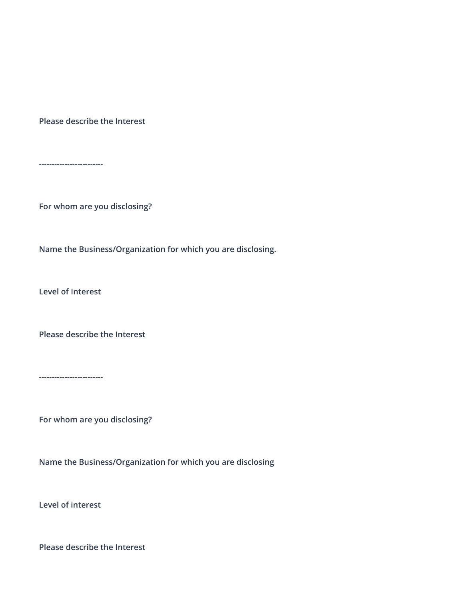**Please describe the Interest**

**-------------------------**

**For whom are you disclosing?**

**Name the Business/Organization for which you are disclosing.**

**Level of Interest**

**Please describe the Interest**

**-------------------------**

**For whom are you disclosing?**

**Name the Business/Organization for which you are disclosing**

**Level of interest**

**Please describe the Interest**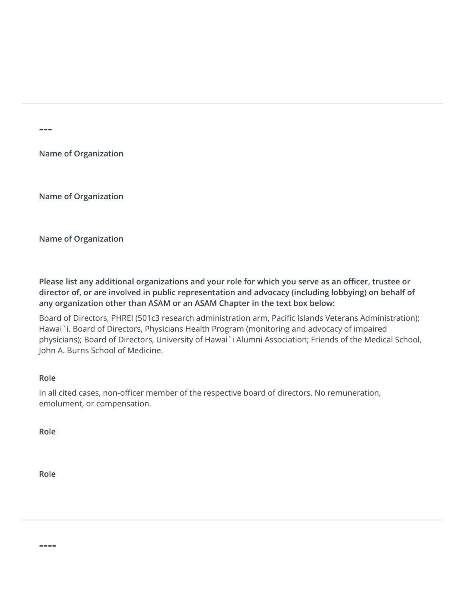**---**

**Name of Organization**

**Name of Organization**

**Name of Organization**

**Please list any additional organizations and your role for which you serve as an officer, trustee or director of, or are involved in public representation and advocacy (including lobbying) on behalf of any organization other than ASAM or an ASAM Chapter in the text box below:**

Board of Directors, PHREI (501c3 research administration arm, Pacific Islands Veterans Administration); Hawai`i. Board of Directors, Physicians Health Program (monitoring and advocacy of impaired physicians); Board of Directors, University of Hawai`i Alumni Association; Friends of the Medical School, John A. Burns School of Medicine.

## **Role**

In all cited cases, non-officer member of the respective board of directors. No remuneration, emolument, or compensation.

**Role**

**Role**

**----**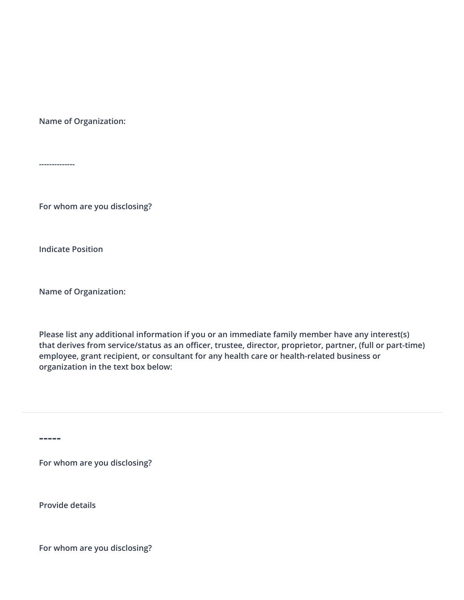**Name of Organization:**

**--------------**

**For whom are you disclosing?**

**Indicate Position**

**Name of Organization:**

**Please list any additional information if you or an immediate family member have any interest(s) that derives from service/status as an officer, trustee, director, proprietor, partner, (full or part-time) employee, grant recipient, or consultant for any health care or health-related business or organization in the text box below:**

**-----**

**For whom are you disclosing?**

**Provide details**

**For whom are you disclosing?**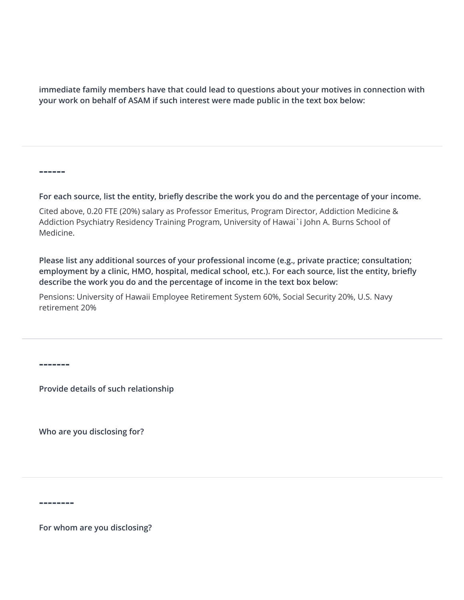**immediate family memb[ers have that could lead to questions about your mo](https://www.asam.org/)tives in connection with your work on behalf of ASAM if such interest were made public in the text box below:**

**------**

**For each source, list the entity, briefly describe the work you do and the percentage of your income.** 

Cited above, 0.20 FTE (20%) salary as Professor Emeritus, Program Director, Addiction Medicine & Addiction Psychiatry Residency Training Program, University of Hawai`i John A. Burns School of Medicine.

**Please list any additional sources of your professional income (e.g., private practice; consultation; employment by a clinic, HMO, hospital, medical school, etc.). For each source, list the entity, briefly describe the work you do and the percentage of income in the text box below:**

Pensions: University of Hawaii Employee Retirement System 60%, Social Security 20%, U.S. Navy retirement 20%

**-------**

**Provide details of such relationship**

**Who are you disclosing for?**

**--------**

**For whom are you disclosing?**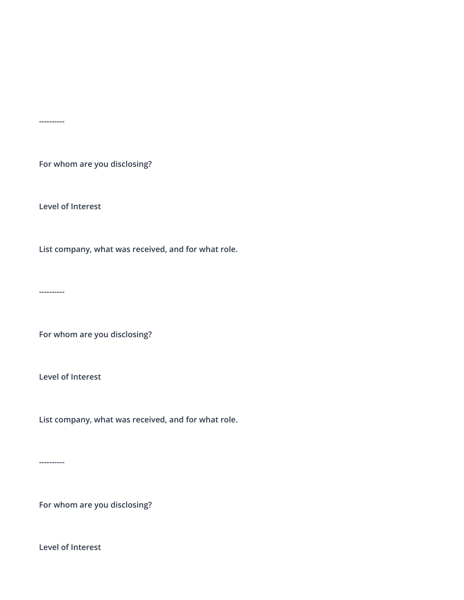**For whom are you disclosing?**

**Level of Interest**

**List company, what was received, and for what role.**

**----------**

**----------**

**For whom are you disclosing?**

**Level of Interest**

**List company, what was received, and for what role.**

**----------**

**For whom are you disclosing?**

**Level of Interest**